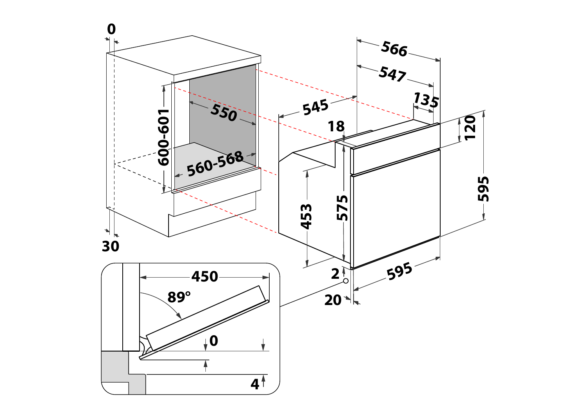